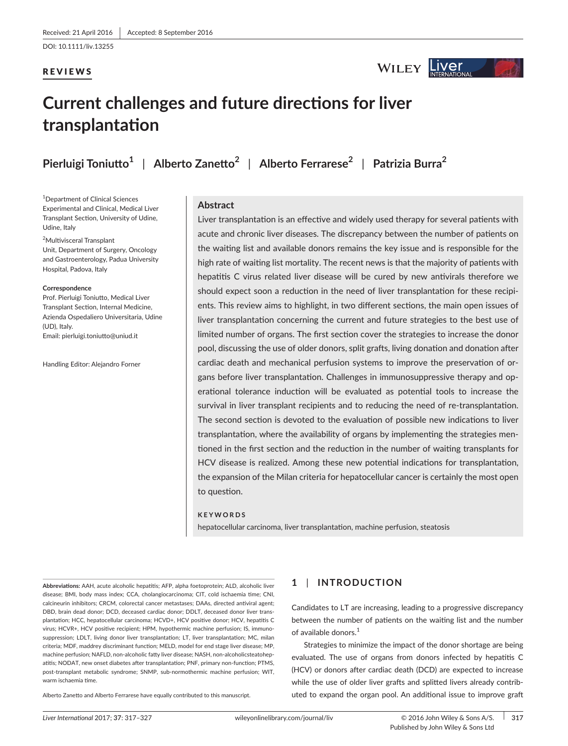DOI: 10.1111/liv.13255

# REVIEWS

# WILEY Liver

# **Current challenges and future directions for liver transplantation**

**Pierluigi Toniutto<sup>1</sup>** | **Alberto Zanetto<sup>2</sup>** | **Alberto Ferrarese<sup>2</sup>** | **Patrizia Burra<sup>2</sup>**

1 Department of Clinical Sciences Experimental and Clinical, Medical Liver Transplant Section, University of Udine, Udine, Italy

2 Multivisceral Transplant Unit, Department of Surgery, Oncology and Gastroenterology, Padua University Hospital, Padova, Italy

#### **Correspondence**

Prof. Pierluigi Toniutto, Medical Liver Transplant Section, Internal Medicine, Azienda Ospedaliero Universitaria, Udine (UD), Italy. Email: [pierluigi.toniutto@uniud.it](mailto:pierluigi.toniutto@uniud.it)

Handling Editor: Alejandro Forner

# **Abstract**

Liver transplantation is an effective and widely used therapy for several patients with acute and chronic liver diseases. The discrepancy between the number of patients on the waiting list and available donors remains the key issue and is responsible for the high rate of waiting list mortality. The recent news is that the majority of patients with hepatitis C virus related liver disease will be cured by new antivirals therefore we should expect soon a reduction in the need of liver transplantation for these recipients. This review aims to highlight, in two different sections, the main open issues of liver transplantation concerning the current and future strategies to the best use of limited number of organs. The first section cover the strategies to increase the donor pool, discussing the use of older donors, split grafts, living donation and donation after cardiac death and mechanical perfusion systems to improve the preservation of organs before liver transplantation. Challenges in immunosuppressive therapy and operational tolerance induction will be evaluated as potential tools to increase the survival in liver transplant recipients and to reducing the need of re-transplantation. The second section is devoted to the evaluation of possible new indications to liver transplantation, where the availability of organs by implementing the strategies mentioned in the first section and the reduction in the number of waiting transplants for HCV disease is realized. Among these new potential indications for transplantation, the expansion of the Milan criteria for hepatocellular cancer is certainly the most open to question.

#### **KEYWORDS**

hepatocellular carcinoma, liver transplantation, machine perfusion, steatosis

**Abbreviations:** AAH, acute alcoholic hepatitis; AFP, alpha foetoprotein; ALD, alcoholic liver disease; BMI, body mass index; CCA, cholangiocarcinoma; CIT, cold ischaemia time; CNI, calcineurin inhibitors; CRCM, colorectal cancer metastases; DAAs, directed antiviral agent; DBD, brain dead donor; DCD, deceased cardiac donor; DDLT, deceased donor liver transplantation; HCC, hepatocellular carcinoma; HCVD+, HCV positive donor; HCV, hepatitis C virus; HCVR+, HCV positive recipient; HPM, hypothermic machine perfusion; IS, immunosuppression; LDLT, living donor liver transplantation; LT, liver transplantation; MC, milan criteria; MDF, maddrey discriminant function; MELD, model for end stage liver disease; MP, machine perfusion; NAFLD, non-alcoholic fatty liver disease; NASH, non-alcoholicsteatohepatitis; NODAT, new onset diabetes after transplantation; PNF, primary non-function; PTMS, post-transplant metabolic syndrome; SNMP, sub-normothermic machine perfusion; WIT, warm ischaemia time.

Alberto Zanetto and Alberto Ferrarese have equally contributed to this manuscript.

# **1** | **INTRODUCTION**

Candidates to LT are increasing, leading to a progressive discrepancy between the number of patients on the waiting list and the number of available donors.<sup>1</sup>

Strategies to minimize the impact of the donor shortage are being evaluated. The use of organs from donors infected by hepatitis C (HCV) or donors after cardiac death (DCD) are expected to increase while the use of older liver grafts and splitted livers already contributed to expand the organ pool. An additional issue to improve graft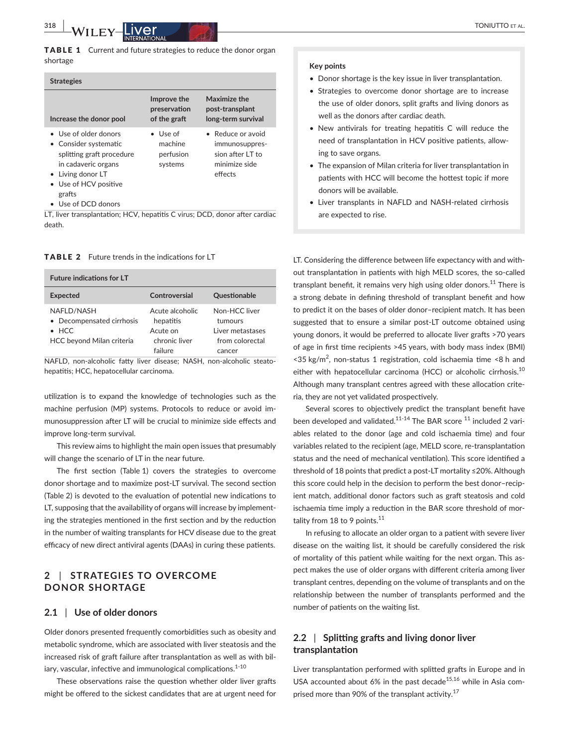TABLE 1 Current and future strategies to reduce the donor organ shortage

| <b>Strategies</b>                                                                                                                                                                 |                                                     |                                                                                     |
|-----------------------------------------------------------------------------------------------------------------------------------------------------------------------------------|-----------------------------------------------------|-------------------------------------------------------------------------------------|
| Increase the donor pool                                                                                                                                                           | Improve the<br>preservation<br>of the graft         | Maximize the<br>post-transplant<br>long-term survival                               |
| • Use of older donors<br>• Consider systematic<br>splitting graft procedure<br>in cadaveric organs<br>• Living donor LT<br>• Use of HCV positive<br>grafts<br>• Use of DCD donors | $\bullet$ Use of<br>machine<br>perfusion<br>systems | • Reduce or avoid<br>immunosuppres-<br>sion after LT to<br>minimize side<br>effects |

LT, liver transplantation; HCV, hepatitis C virus; DCD, donor after cardiac death.

TABLE 2 Future trends in the indications for LT

| <b>Future indications for LT</b>           |                                      |                                               |
|--------------------------------------------|--------------------------------------|-----------------------------------------------|
| <b>Expected</b>                            | Controversial                        | <b>Questionable</b>                           |
| NAFLD/NASH<br>• Decompensated cirrhosis    | Acute alcoholic<br>hepatitis         | Non-HCC liver<br>tumours                      |
| $\bullet$ HCC<br>HCC beyond Milan criteria | Acute on<br>chronic liver<br>failure | Liver metastases<br>from colorectal<br>cancer |

NAFLD, non-alcoholic fatty liver disease; NASH, non-alcoholic steatohepatitis; HCC, hepatocellular carcinoma.

utilization is to expand the knowledge of technologies such as the machine perfusion (MP) systems. Protocols to reduce or avoid immunosuppression after LT will be crucial to minimize side effects and improve long-term survival.

This review aims to highlight the main open issues that presumably will change the scenario of LT in the near future.

The first section (Table 1) covers the strategies to overcome donor shortage and to maximize post-LT survival. The second section (Table 2) is devoted to the evaluation of potential new indications to LT, supposing that the availability of organs will increase by implementing the strategies mentioned in the first section and by the reduction in the number of waiting transplants for HCV disease due to the great efficacy of new direct antiviral agents (DAAs) in curing these patients.

# **2** | **STRATEGIES TO OVERCOME DONOR SHORTAGE**

# **2.1** | **Use of older donors**

Older donors presented frequently comorbidities such as obesity and metabolic syndrome, which are associated with liver steatosis and the increased risk of graft failure after transplantation as well as with biliary, vascular, infective and immunological complications. $1-10$ 

These observations raise the question whether older liver grafts might be offered to the sickest candidates that are at urgent need for

#### **Key points**

- Donor shortage is the key issue in liver transplantation.
- Strategies to overcome donor shortage are to increase the use of older donors, split grafts and living donors as well as the donors after cardiac death.
- New antivirals for treating hepatitis C will reduce the need of transplantation in HCV positive patients, allowing to save organs.
- The expansion of Milan criteria for liver transplantation in patients with HCC will become the hottest topic if more donors will be available.
- Liver transplants in NAFLD and NASH-related cirrhosis are expected to rise.

LT. Considering the difference between life expectancy with and without transplantation in patients with high MELD scores, the so-called transplant benefit, it remains very high using older donors.<sup>11</sup> There is a strong debate in defining threshold of transplant benefit and how to predict it on the bases of older donor–recipient match. It has been suggested that to ensure a similar post-LT outcome obtained using young donors, it would be preferred to allocate liver grafts >70 years of age in first time recipients >45 years, with body mass index (BMI)  $<$ 35 kg/m<sup>2</sup>, non-status 1 registration, cold ischaemia time  $<$ 8 h and either with hepatocellular carcinoma (HCC) or alcoholic cirrhosis.<sup>10</sup> Although many transplant centres agreed with these allocation criteria, they are not yet validated prospectively.

Several scores to objectively predict the transplant benefit have been developed and validated.<sup>11-14</sup> The BAR score  $^{11}$  included 2 variables related to the donor (age and cold ischaemia time) and four variables related to the recipient (age, MELD score, re-transplantation status and the need of mechanical ventilation). This score identified a threshold of 18 points that predict a post-LT mortality ≤20%. Although this score could help in the decision to perform the best donor–recipient match, additional donor factors such as graft steatosis and cold ischaemia time imply a reduction in the BAR score threshold of mortality from 18 to 9 points.<sup>11</sup>

In refusing to allocate an older organ to a patient with severe liver disease on the waiting list, it should be carefully considered the risk of mortality of this patient while waiting for the next organ. This aspect makes the use of older organs with different criteria among liver transplant centres, depending on the volume of transplants and on the relationship between the number of transplants performed and the number of patients on the waiting list.

# **2.2** | **Splitting grafts and living donor liver transplantation**

Liver transplantation performed with splitted grafts in Europe and in USA accounted about 6% in the past decade<sup>15,16</sup> while in Asia comprised more than 90% of the transplant activity.<sup>17</sup>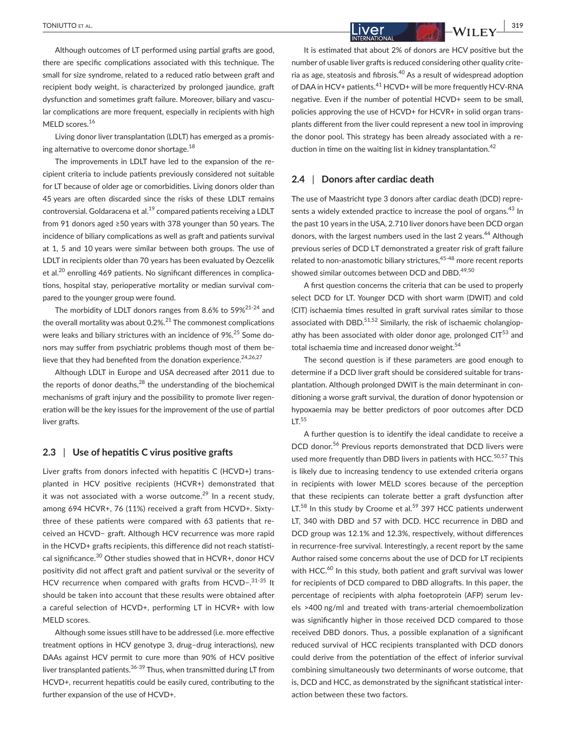Although outcomes of LT performed using partial grafts are good, there are specific complications associated with this technique. The small for size syndrome, related to a reduced ratio between graft and recipient body weight, is characterized by prolonged jaundice, graft dysfunction and sometimes graft failure. Moreover, biliary and vascular complications are more frequent, especially in recipients with high MELD scores.<sup>16</sup>

Living donor liver transplantation (LDLT) has emerged as a promising alternative to overcome donor shortage.<sup>18</sup>

The improvements in LDLT have led to the expansion of the recipient criteria to include patients previously considered not suitable for LT because of older age or comorbidities. Living donors older than 45 years are often discarded since the risks of these LDLT remains controversial. Goldaracena et al.<sup>19</sup> compared patients receiving a LDLT from 91 donors aged ≥50 years with 378 younger than 50 years. The incidence of biliary complications as well as graft and patients survival at 1, 5 and 10 years were similar between both groups. The use of LDLT in recipients older than 70 years has been evaluated by Oezcelik et al.<sup>20</sup> enrolling 469 patients. No significant differences in complications, hospital stay, perioperative mortality or median survival compared to the younger group were found.

The morbidity of LDLT donors ranges from 8.6% to 59%<sup>21-24</sup> and the overall mortality was about  $0.2\%$ <sup>21</sup> The commonest complications were leaks and biliary strictures with an incidence of 9%.<sup>25</sup> Some donors may suffer from psychiatric problems though most of them believe that they had benefited from the donation experience.<sup>24,26,27</sup>

Although LDLT in Europe and USA decreased after 2011 due to the reports of donor deaths, $^{28}$  the understanding of the biochemical mechanisms of graft injury and the possibility to promote liver regeneration will be the key issues for the improvement of the use of partial liver grafts.

#### **2.3** | **Use of hepatitis C virus positive grafts**

Liver grafts from donors infected with hepatitis C (HCVD+) transplanted in HCV positive recipients (HCVR+) demonstrated that it was not associated with a worse outcome.<sup>29</sup> In a recent study, among 694 HCVR+, 76 (11%) received a graft from HCVD+. Sixtythree of these patients were compared with 63 patients that received an HCVD− graft. Although HCV recurrence was more rapid in the HCVD+ grafts recipients, this difference did not reach statistical significance.<sup>30</sup> Other studies showed that in HCVR+, donor HCV positivity did not affect graft and patient survival or the severity of HCV recurrence when compared with grafts from HCVD-.<sup>31-35</sup> It should be taken into account that these results were obtained after a careful selection of HCVD+, performing LT in HCVR+ with low MELD scores.

Although some issues still have to be addressed (i.e. more effective treatment options in HCV genotype 3, drug–drug interactions), new DAAs against HCV permit to cure more than 90% of HCV positive liver transplanted patients.<sup>36-39</sup> Thus, when transmitted during LT from HCVD+, recurrent hepatitis could be easily cured, contributing to the further expansion of the use of HCVD+.

 **|** TONIUTTO et al. **319** It is estimated that about 2% of donors are HCV positive but the number of usable liver grafts is reduced considering other quality criteria as age, steatosis and fibrosis.40 As a result of widespread adoption of DAA in HCV+ patients.<sup>41</sup> HCVD+ will be more frequently HCV-RNA negative. Even if the number of potential HCVD+ seem to be small,

policies approving the use of HCVD+ for HCVR+ in solid organ transplants different from the liver could represent a new tool in improving the donor pool. This strategy has been already associated with a reduction in time on the waiting list in kidney transplantation.<sup>42</sup>

#### **2.4** | **Donors after cardiac death**

The use of Maastricht type 3 donors after cardiac death (DCD) represents a widely extended practice to increase the pool of organs.<sup>43</sup> In the past 10 years in the USA, 2.710 liver donors have been DCD organ donors, with the largest numbers used in the last 2 years.<sup>44</sup> Although previous series of DCD LT demonstrated a greater risk of graft failure related to non-anastomotic biliary strictures,<sup>45-48</sup> more recent reports showed similar outcomes between DCD and DBD.<sup>49,50</sup>

A first question concerns the criteria that can be used to properly select DCD for LT. Younger DCD with short warm (DWIT) and cold (CIT) ischaemia times resulted in graft survival rates similar to those associated with DBD. $51,52$  Similarly, the risk of ischaemic cholangiopathy has been associated with older donor age, prolonged  $CIT^{53}$  and total ischaemia time and increased donor weight.<sup>54</sup>

The second question is if these parameters are good enough to determine if a DCD liver graft should be considered suitable for transplantation. Although prolonged DWIT is the main determinant in conditioning a worse graft survival, the duration of donor hypotension or hypoxaemia may be better predictors of poor outcomes after DCD  $LT<sup>55</sup>$ 

A further question is to identify the ideal candidate to receive a DCD donor.<sup>56</sup> Previous reports demonstrated that DCD livers were used more frequently than DBD livers in patients with HCC.<sup>50,57</sup> This is likely due to increasing tendency to use extended criteria organs in recipients with lower MELD scores because of the perception that these recipients can tolerate better a graft dysfunction after LT.<sup>58</sup> In this study by Croome et al.<sup>59</sup> 397 HCC patients underwent LT, 340 with DBD and 57 with DCD. HCC recurrence in DBD and DCD group was 12.1% and 12.3%, respectively, without differences in recurrence-free survival. Interestingly, a recent report by the same Author raised some concerns about the use of DCD for LT recipients with HCC.<sup>60</sup> In this study, both patient and graft survival was lower for recipients of DCD compared to DBD allografts. In this paper, the percentage of recipients with alpha foetoprotein (AFP) serum levels >400 ng/ml and treated with trans-arterial chemoembolization was significantly higher in those received DCD compared to those received DBD donors. Thus, a possible explanation of a significant reduced survival of HCC recipients transplanted with DCD donors could derive from the potentiation of the effect of inferior survival combining simultaneously two determinants of worse outcome, that is, DCD and HCC, as demonstrated by the significant statistical interaction between these two factors.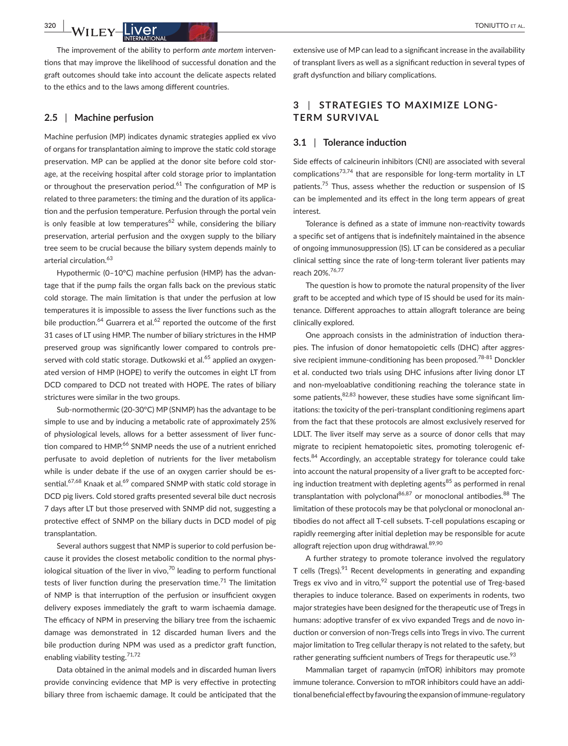The improvement of the ability to perform *ante mortem* interventions that may improve the likelihood of successful donation and the graft outcomes should take into account the delicate aspects related to the ethics and to the laws among different countries.

## **2.5** | **Machine perfusion**

Machine perfusion (MP) indicates dynamic strategies applied ex vivo of organs for transplantation aiming to improve the static cold storage preservation. MP can be applied at the donor site before cold storage, at the receiving hospital after cold storage prior to implantation or throughout the preservation period.<sup>61</sup> The configuration of MP is related to three parameters: the timing and the duration of its application and the perfusion temperature. Perfusion through the portal vein is only feasible at low temperatures<sup>62</sup> while, considering the biliary preservation, arterial perfusion and the oxygen supply to the biliary tree seem to be crucial because the biliary system depends mainly to arterial circulation.<sup>63</sup>

Hypothermic (0–10°C) machine perfusion (HMP) has the advantage that if the pump fails the organ falls back on the previous static cold storage. The main limitation is that under the perfusion at low temperatures it is impossible to assess the liver functions such as the bile production.<sup>64</sup> Guarrera et al.<sup>62</sup> reported the outcome of the first 31 cases of LT using HMP. The number of biliary strictures in the HMP preserved group was significantly lower compared to controls preserved with cold static storage. Dutkowski et al.<sup>65</sup> applied an oxygenated version of HMP (HOPE) to verify the outcomes in eight LT from DCD compared to DCD not treated with HOPE. The rates of biliary strictures were similar in the two groups.

Sub-normothermic (20-30°C) MP (SNMP) has the advantage to be simple to use and by inducing a metabolic rate of approximately 25% of physiological levels, allows for a better assessment of liver function compared to HMP.<sup>66</sup> SNMP needs the use of a nutrient enriched perfusate to avoid depletion of nutrients for the liver metabolism while is under debate if the use of an oxygen carrier should be essential.<sup>67,68</sup> Knaak et al.<sup>69</sup> compared SNMP with static cold storage in DCD pig livers. Cold stored grafts presented several bile duct necrosis 7 days after LT but those preserved with SNMP did not, suggesting a protective effect of SNMP on the biliary ducts in DCD model of pig transplantation.

Several authors suggest that NMP is superior to cold perfusion because it provides the closest metabolic condition to the normal physiological situation of the liver in vivo, $70$  leading to perform functional tests of liver function during the preservation time.<sup>71</sup> The limitation of NMP is that interruption of the perfusion or insufficient oxygen delivery exposes immediately the graft to warm ischaemia damage. The efficacy of NPM in preserving the biliary tree from the ischaemic damage was demonstrated in 12 discarded human livers and the bile production during NPM was used as a predictor graft function, enabling viability testing.<sup>71,72</sup>

Data obtained in the animal models and in discarded human livers provide convincing evidence that MP is very effective in protecting biliary three from ischaemic damage. It could be anticipated that the

extensive use of MP can lead to a significant increase in the availability of transplant livers as well as a significant reduction in several types of graft dysfunction and biliary complications.

# **3** | **STRATEGIES TO MAXIMIZE LONG-TERM SURVIVAL**

### **3.1** | **Tolerance induction**

Side effects of calcineurin inhibitors (CNI) are associated with several complications<sup>73,74</sup> that are responsible for long-term mortality in LT patients.<sup>75</sup> Thus, assess whether the reduction or suspension of IS can be implemented and its effect in the long term appears of great interest.

Tolerance is defined as a state of immune non-reactivity towards a specific set of antigens that is indefinitely maintained in the absence of ongoing immunosuppression (IS). LT can be considered as a peculiar clinical setting since the rate of long-term tolerant liver patients may reach 20%.76,77

The question is how to promote the natural propensity of the liver graft to be accepted and which type of IS should be used for its maintenance. Different approaches to attain allograft tolerance are being clinically explored.

One approach consists in the administration of induction therapies. The infusion of donor hematopoietic cells (DHC) after aggressive recipient immune-conditioning has been proposed.<sup>78-81</sup> Donckler et al. conducted two trials using DHC infusions after living donor LT and non-myeloablative conditioning reaching the tolerance state in some patients, $82,83$  however, these studies have some significant limitations: the toxicity of the peri-transplant conditioning regimens apart from the fact that these protocols are almost exclusively reserved for LDLT. The liver itself may serve as a source of donor cells that may migrate to recipient hematopoietic sites, promoting tolerogenic effects.84 Accordingly, an acceptable strategy for tolerance could take into account the natural propensity of a liver graft to be accepted forcing induction treatment with depleting agents<sup>85</sup> as performed in renal transplantation with polyclonal<sup>86,87</sup> or monoclonal antibodies.<sup>88</sup> The limitation of these protocols may be that polyclonal or monoclonal antibodies do not affect all T-cell subsets. T-cell populations escaping or rapidly reemerging after initial depletion may be responsible for acute allograft rejection upon drug withdrawal.<sup>89,90</sup>

A further strategy to promote tolerance involved the regulatory T cells (Tregs). $91$  Recent developments in generating and expanding Tregs ex vivo and in vitro*,* 92 support the potential use of Treg-based therapies to induce tolerance. Based on experiments in rodents, two major strategies have been designed for the therapeutic use of Tregs in humans: adoptive transfer of ex vivo expanded Tregs and de novo induction or conversion of non-Tregs cells into Tregs in vivo. The current major limitation to Treg cellular therapy is not related to the safety, but rather generating sufficient numbers of Tregs for therapeutic use.<sup>93</sup>

Mammalian target of rapamycin (mTOR) inhibitors may promote immune tolerance. Conversion to mTOR inhibitors could have an additional beneficial effect by favouring the expansion of immune-regulatory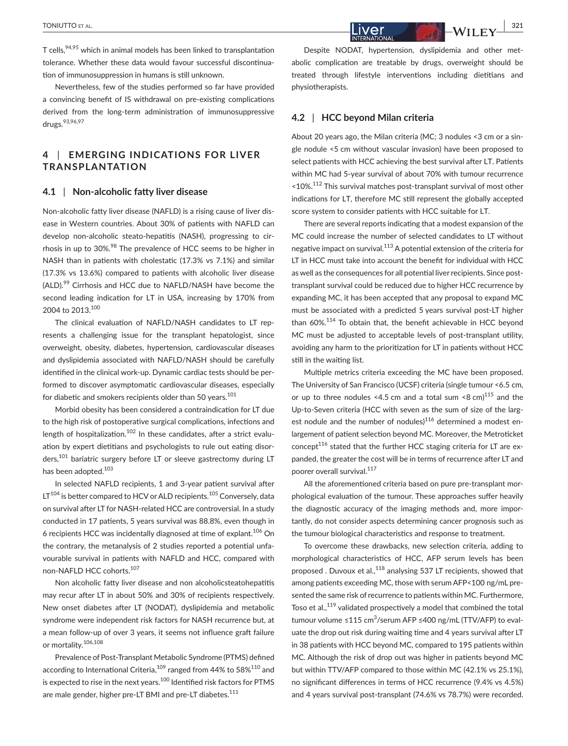T cells,94,95 which in animal models has been linked to transplantation tolerance. Whether these data would favour successful discontinuation of immunosuppression in humans is still unknown.

Nevertheless, few of the studies performed so far have provided a convincing benefit of IS withdrawal on pre-existing complications derived from the long-term administration of immunosuppressive drugs.93,96,97

# **4** | **EMERGING INDICATIONS FOR LIVER TRANSPLANTATION**

# **4.1** | **Non-alcoholic fatty liver disease**

Non-alcoholic fatty liver disease (NAFLD) is a rising cause of liver disease in Western countries. About 30% of patients with NAFLD can develop non-alcoholic steato-hepatitis (NASH), progressing to cirrhosis in up to 30%.<sup>98</sup> The prevalence of HCC seems to be higher in NASH than in patients with cholestatic (17.3% vs 7.1%) and similar (17.3% vs 13.6%) compared to patients with alcoholic liver disease (ALD).<sup>99</sup> Cirrhosis and HCC due to NAFLD/NASH have become the second leading indication for LT in USA, increasing by 170% from 2004 to 2013.<sup>100</sup>

The clinical evaluation of NAFLD/NASH candidates to LT represents a challenging issue for the transplant hepatologist, since overweight, obesity, diabetes, hypertension, cardiovascular diseases and dyslipidemia associated with NAFLD/NASH should be carefully identified in the clinical work-up. Dynamic cardiac tests should be performed to discover asymptomatic cardiovascular diseases, especially for diabetic and smokers recipients older than 50 years.<sup>101</sup>

Morbid obesity has been considered a contraindication for LT due to the high risk of postoperative surgical complications, infections and length of hospitalization.<sup>102</sup> In these candidates, after a strict evaluation by expert dietitians and psychologists to rule out eating disorders,<sup>101</sup> bariatric surgery before LT or sleeve gastrectomy during LT has been adopted.<sup>103</sup>

In selected NAFLD recipients, 1 and 3-year patient survival after  $LT^{104}$  is better compared to HCV or ALD recipients.<sup>105</sup> Conversely, data on survival after LT for NASH-related HCC are controversial. In a study conducted in 17 patients, 5 years survival was 88.8%, even though in 6 recipients HCC was incidentally diagnosed at time of explant.106 On the contrary, the metanalysis of 2 studies reported a potential unfavourable survival in patients with NAFLD and HCC, compared with non-NAFLD HCC cohorts.<sup>107</sup>

Non alcoholic fatty liver disease and non alcoholicsteatohepatitis may recur after LT in about 50% and 30% of recipients respectively. New onset diabetes after LT (NODAT), dyslipidemia and metabolic syndrome were independent risk factors for NASH recurrence but, at a mean follow-up of over 3 years, it seems not influence graft failure or mortality.106,108

Prevalence of Post-Transplant Metabolic Syndrome (PTMS) defined according to International Criteria,<sup>109</sup> ranged from 44% to 58%<sup>110</sup> and is expected to rise in the next years.<sup>100</sup> Identified risk factors for PTMS are male gender, higher pre-LT BMI and pre-LT diabetes.<sup>111</sup>

Despite NODAT, hypertension, dyslipidemia and other metabolic complication are treatable by drugs, overweight should be treated through lifestyle interventions including dietitians and physiotherapists.

#### **4.2** | **HCC beyond Milan criteria**

About 20 years ago, the Milan criteria (MC; 3 nodules <3 cm or a single nodule <5 cm without vascular invasion) have been proposed to select patients with HCC achieving the best survival after LT. Patients within MC had 5-year survival of about 70% with tumour recurrence <10%.112 This survival matches post-transplant survival of most other indications for LT, therefore MC still represent the globally accepted score system to consider patients with HCC suitable for LT.

There are several reports indicating that a modest expansion of the MC could increase the number of selected candidates to LT without negative impact on survival.113 A potential extension of the criteria for LT in HCC must take into account the benefit for individual with HCC as well as the consequences for all potential liver recipients. Since posttransplant survival could be reduced due to higher HCC recurrence by expanding MC, it has been accepted that any proposal to expand MC must be associated with a predicted 5 years survival post-LT higher than 60%.114 To obtain that, the benefit achievable in HCC beyond MC must be adjusted to acceptable levels of post-transplant utility, avoiding any harm to the prioritization for LT in patients without HCC still in the waiting list.

Multiple metrics criteria exceeding the MC have been proposed. The University of San Francisco (UCSF) criteria (single tumour <6.5 cm, or up to three nodules <4.5 cm and a total sum <8 cm) $^{115}$  and the Up-to-Seven criteria (HCC with seven as the sum of size of the largest nodule and the number of nodules) $116$  determined a modest enlargement of patient selection beyond MC. Moreover, the Metroticket concept $116$  stated that the further HCC staging criteria for LT are expanded, the greater the cost will be in terms of recurrence after LT and poorer overall survival.<sup>117</sup>

All the aforementioned criteria based on pure pre-transplant morphological evaluation of the tumour. These approaches suffer heavily the diagnostic accuracy of the imaging methods and, more importantly, do not consider aspects determining cancer prognosis such as the tumour biological characteristics and response to treatment.

To overcome these drawbacks, new selection criteria, adding to morphological characteristics of HCC, AFP serum levels has been proposed . Duvoux et al.,<sup>118</sup> analysing 537 LT recipients, showed that among patients exceeding MC, those with serum AFP<100 ng/mL presented the same risk of recurrence to patients within MC. Furthermore, Toso et al.,<sup>119</sup> validated prospectively a model that combined the total tumour volume ≤115 cm<sup>3</sup>/serum AFP ≤400 ng/mL (TTV/AFP) to evaluate the drop out risk during waiting time and 4 years survival after LT in 38 patients with HCC beyond MC, compared to 195 patients within MC. Although the risk of drop out was higher in patients beyond MC but within TTV/AFP compared to those within MC (42.1% vs 25.1%), no significant differences in terms of HCC recurrence (9.4% vs 4.5%) and 4 years survival post-transplant (74.6% vs 78.7%) were recorded.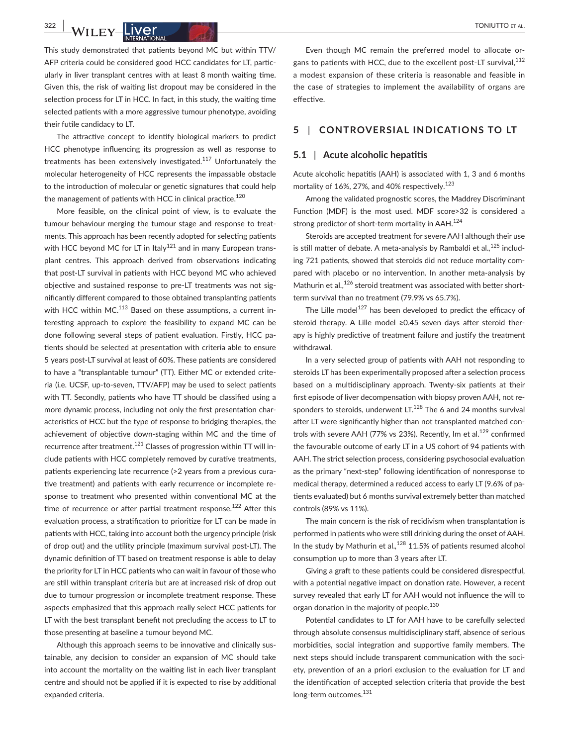This study demonstrated that patients beyond MC but within TTV/ AFP criteria could be considered good HCC candidates for LT, particularly in liver transplant centres with at least 8 month waiting time. Given this, the risk of waiting list dropout may be considered in the selection process for LT in HCC. In fact, in this study, the waiting time selected patients with a more aggressive tumour phenotype, avoiding their futile candidacy to LT.

The attractive concept to identify biological markers to predict HCC phenotype influencing its progression as well as response to treatments has been extensively investigated.<sup>117</sup> Unfortunately the molecular heterogeneity of HCC represents the impassable obstacle to the introduction of molecular or genetic signatures that could help the management of patients with HCC in clinical practice.<sup>120</sup>

More feasible, on the clinical point of view, is to evaluate the tumour behaviour merging the tumour stage and response to treatments. This approach has been recently adopted for selecting patients with HCC beyond MC for LT in Italy<sup>121</sup> and in many European transplant centres. This approach derived from observations indicating that post-LT survival in patients with HCC beyond MC who achieved objective and sustained response to pre-LT treatments was not significantly different compared to those obtained transplanting patients with HCC within MC.<sup>113</sup> Based on these assumptions, a current interesting approach to explore the feasibility to expand MC can be done following several steps of patient evaluation. Firstly, HCC patients should be selected at presentation with criteria able to ensure 5 years post-LT survival at least of 60%. These patients are considered to have a "transplantable tumour" (TT). Either MC or extended criteria (i.e. UCSF, up-to-seven, TTV/AFP) may be used to select patients with TT. Secondly, patients who have TT should be classified using a more dynamic process, including not only the first presentation characteristics of HCC but the type of response to bridging therapies, the achievement of objective down-staging within MC and the time of recurrence after treatment.<sup>121</sup> Classes of progression within TT will include patients with HCC completely removed by curative treatments, patients experiencing late recurrence (>2 years from a previous curative treatment) and patients with early recurrence or incomplete response to treatment who presented within conventional MC at the time of recurrence or after partial treatment response.<sup>122</sup> After this evaluation process, a stratification to prioritize for LT can be made in patients with HCC, taking into account both the urgency principle (risk of drop out) and the utility principle (maximum survival post-LT). The dynamic definition of TT based on treatment response is able to delay the priority for LT in HCC patients who can wait in favour of those who are still within transplant criteria but are at increased risk of drop out due to tumour progression or incomplete treatment response. These aspects emphasized that this approach really select HCC patients for LT with the best transplant benefit not precluding the access to LT to those presenting at baseline a tumour beyond MC.

Although this approach seems to be innovative and clinically sustainable, any decision to consider an expansion of MC should take into account the mortality on the waiting list in each liver transplant centre and should not be applied if it is expected to rise by additional expanded criteria.

Even though MC remain the preferred model to allocate organs to patients with HCC, due to the excellent post-LT survival.<sup>112</sup> a modest expansion of these criteria is reasonable and feasible in the case of strategies to implement the availability of organs are effective.

# **5** | **CONTROVERSIAL INDICATIONS TO LT**

#### **5.1** | **Acute alcoholic hepatitis**

Acute alcoholic hepatitis (AAH) is associated with 1, 3 and 6 months mortality of 16%, 27%, and 40% respectively.<sup>123</sup>

Among the validated prognostic scores, the Maddrey Discriminant Function (MDF) is the most used. MDF score>32 is considered a strong predictor of short-term mortality in AAH.<sup>124</sup>

Steroids are accepted treatment for severe AAH although their use is still matter of debate. A meta-analysis by Rambaldi et al.*,* 125 including 721 patients, showed that steroids did not reduce mortality compared with placebo or no intervention. In another meta-analysis by Mathurin et al., $126$  steroid treatment was associated with better shortterm survival than no treatment (79.9% vs 65.7%).

The Lille model $127$  has been developed to predict the efficacy of steroid therapy. A Lille model ≥0.45 seven days after steroid therapy is highly predictive of treatment failure and justify the treatment withdrawal.

In a very selected group of patients with AAH not responding to steroids LT has been experimentally proposed after a selection process based on a multidisciplinary approach. Twenty-six patients at their first episode of liver decompensation with biopsy proven AAH, not responders to steroids, underwent LT. $^{128}$  The 6 and 24 months survival after LT were significantly higher than not transplanted matched controls with severe AAH (77% vs 23%). Recently, Im et al. $^{129}$  confirmed the favourable outcome of early LT in a US cohort of 94 patients with AAH. The strict selection process, considering psychosocial evaluation as the primary "next-step" following identification of nonresponse to medical therapy, determined a reduced access to early LT (9.6% of patients evaluated) but 6 months survival extremely better than matched controls (89% vs 11%).

The main concern is the risk of recidivism when transplantation is performed in patients who were still drinking during the onset of AAH. In the study by Mathurin et al.,<sup>128</sup> 11.5% of patients resumed alcohol consumption up to more than 3 years after LT.

Giving a graft to these patients could be considered disrespectful, with a potential negative impact on donation rate. However, a recent survey revealed that early LT for AAH would not influence the will to organ donation in the majority of people.<sup>130</sup>

Potential candidates to LT for AAH have to be carefully selected through absolute consensus multidisciplinary staff, absence of serious morbidities, social integration and supportive family members. The next steps should include transparent communication with the society, prevention of an a priori exclusion to the evaluation for LT and the identification of accepted selection criteria that provide the best long-term outcomes.<sup>131</sup>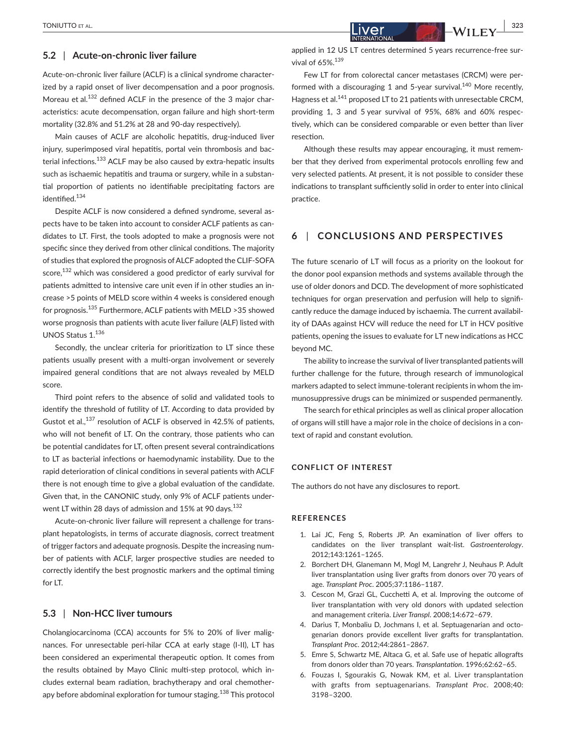## **5.2** | **Acute-on-chronic liver failure**

Acute-on-chronic liver failure (ACLF) is a clinical syndrome characterized by a rapid onset of liver decompensation and a poor prognosis. Moreau et al.132 defined ACLF in the presence of the 3 major characteristics: acute decompensation, organ failure and high short-term mortality (32.8% and 51.2% at 28 and 90-day respectively).

Main causes of ACLF are alcoholic hepatitis, drug-induced liver injury, superimposed viral hepatitis, portal vein thrombosis and bacterial infections.<sup>133</sup> ACLF may be also caused by extra-hepatic insults such as ischaemic hepatitis and trauma or surgery, while in a substantial proportion of patients no identifiable precipitating factors are identified.<sup>134</sup>

Despite ACLF is now considered a defined syndrome, several aspects have to be taken into account to consider ACLF patients as candidates to LT. First, the tools adopted to make a prognosis were not specific since they derived from other clinical conditions. The majority of studies that explored the prognosis of ALCF adopted the CLIF-SOFA score,<sup>132</sup> which was considered a good predictor of early survival for patients admitted to intensive care unit even if in other studies an increase >5 points of MELD score within 4 weeks is considered enough for prognosis.<sup>135</sup> Furthermore, ACLF patients with MELD >35 showed worse prognosis than patients with acute liver failure (ALF) listed with UNOS Status 1.<sup>136</sup>

Secondly, the unclear criteria for prioritization to LT since these patients usually present with a multi-organ involvement or severely impaired general conditions that are not always revealed by MELD score.

Third point refers to the absence of solid and validated tools to identify the threshold of futility of LT. According to data provided by Gustot et al.,<sup>137</sup> resolution of ACLF is observed in 42.5% of patients, who will not benefit of LT. On the contrary, those patients who can be potential candidates for LT, often present several contraindications to LT as bacterial infections or haemodynamic instability. Due to the rapid deterioration of clinical conditions in several patients with ACLF there is not enough time to give a global evaluation of the candidate. Given that, in the CANONIC study, only 9% of ACLF patients underwent LT within 28 days of admission and 15% at 90 days.<sup>132</sup>

Acute-on-chronic liver failure will represent a challenge for transplant hepatologists, in terms of accurate diagnosis, correct treatment of trigger factors and adequate prognosis. Despite the increasing number of patients with ACLF, larger prospective studies are needed to correctly identify the best prognostic markers and the optimal timing for LT.

#### **5.3** | **Non-HCC liver tumours**

Cholangiocarcinoma (CCA) accounts for 5% to 20% of liver malignances. For unresectable peri-hilar CCA at early stage (I-II), LT has been considered an experimental therapeutic option. It comes from the results obtained by Mayo Clinic multi-step protocol, which includes external beam radiation, brachytherapy and oral chemotherapy before abdominal exploration for tumour staging.<sup>138</sup> This protocol applied in 12 US LT centres determined 5 years recurrence-free survival of 65%.<sup>139</sup>

Few LT for from colorectal cancer metastases (CRCM) were performed with a discouraging 1 and 5-year survival.<sup>140</sup> More recently, Hagness et al.<sup>141</sup> proposed LT to 21 patients with unresectable CRCM, providing 1, 3 and 5 year survival of 95%, 68% and 60% respectively, which can be considered comparable or even better than liver resection.

Although these results may appear encouraging, it must remember that they derived from experimental protocols enrolling few and very selected patients. At present, it is not possible to consider these indications to transplant sufficiently solid in order to enter into clinical practice.

# **6** | **CONCLUSIONS AND PERSPECTIVES**

The future scenario of LT will focus as a priority on the lookout for the donor pool expansion methods and systems available through the use of older donors and DCD. The development of more sophisticated techniques for organ preservation and perfusion will help to significantly reduce the damage induced by ischaemia. The current availability of DAAs against HCV will reduce the need for LT in HCV positive patients, opening the issues to evaluate for LT new indications as HCC beyond MC.

The ability to increase the survival of liver transplanted patients will further challenge for the future, through research of immunological markers adapted to select immune-tolerant recipients in whom the immunosuppressive drugs can be minimized or suspended permanently.

The search for ethical principles as well as clinical proper allocation of organs will still have a major role in the choice of decisions in a context of rapid and constant evolution.

#### **CONFLICT OF INTEREST**

The authors do not have any disclosures to report.

#### **REFERENCES**

- 1. Lai JC, Feng S, Roberts JP. An examination of liver offers to candidates on the liver transplant wait-list. *Gastroenterology*. 2012;143:1261–1265.
- 2. Borchert DH, Glanemann M, Mogl M, Langrehr J, Neuhaus P. Adult liver transplantation using liver grafts from donors over 70 years of age. *Transplant Proc*. 2005;37:1186–1187.
- 3. Cescon M, Grazi GL, Cucchetti A, et al. Improving the outcome of liver transplantation with very old donors with updated selection and management criteria. *Liver Transpl*. 2008;14:672–679.
- 4. Darius T, Monbaliu D, Jochmans I, et al. Septuagenarian and octogenarian donors provide excellent liver grafts for transplantation. *Transplant Proc*. 2012;44:2861–2867.
- 5. Emre S, Schwartz ME, Altaca G, et al. Safe use of hepatic allografts from donors older than 70 years. *Transplantation*. 1996;62:62–65.
- 6. Fouzas I, Sgourakis G, Nowak KM, et al. Liver transplantation with grafts from septuagenarians. *Transplant Proc*. 2008;40: 3198–3200.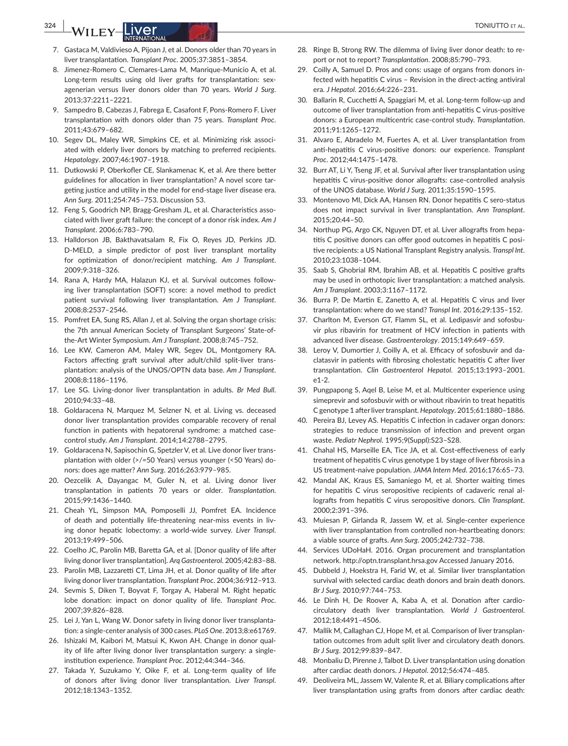- 7. Gastaca M, Valdivieso A, Pijoan J, et al. Donors older than 70 years in liver transplantation. *Transplant Proc*. 2005;37:3851–3854.
- 8. Jimenez-Romero C, Clemares-Lama M, Manrique-Municio A, et al. Long-term results using old liver grafts for transplantation: sexagenerian versus liver donors older than 70 years. *World J Surg*. 2013;37:2211–2221.
- 9. Sampedro B, Cabezas J, Fabrega E, Casafont F, Pons-Romero F. Liver transplantation with donors older than 75 years. *Transplant Proc*. 2011;43:679–682.
- 10. Segev DL, Maley WR, Simpkins CE, et al. Minimizing risk associated with elderly liver donors by matching to preferred recipients. *Hepatology*. 2007;46:1907–1918.
- 11. Dutkowski P, Oberkofler CE, Slankamenac K, et al. Are there better guidelines for allocation in liver transplantation? A novel score targeting justice and utility in the model for end-stage liver disease era. *Ann Surg*. 2011;254:745–753. Discussion 53.
- 12. Feng S, Goodrich NP, Bragg-Gresham JL, et al. Characteristics associated with liver graft failure: the concept of a donor risk index. *Am J Transplant*. 2006;6:783–790.
- 13. Halldorson JB, Bakthavatsalam R, Fix O, Reyes JD, Perkins JD. D-MELD, a simple predictor of post liver transplant mortality for optimization of donor/recipient matching. *Am J Transplant*. 2009;9:318–326.
- 14. Rana A, Hardy MA, Halazun KJ, et al. Survival outcomes following liver transplantation (SOFT) score: a novel method to predict patient survival following liver transplantation. *Am J Transplant*. 2008;8:2537–2546.
- 15. Pomfret EA, Sung RS, Allan J, et al. Solving the organ shortage crisis: the 7th annual American Society of Transplant Surgeons' State-ofthe-Art Winter Symposium. *Am J Transplant*. 2008;8:745–752.
- 16. Lee KW, Cameron AM, Maley WR, Segev DL, Montgomery RA. Factors affecting graft survival after adult/child split-liver transplantation: analysis of the UNOS/OPTN data base. *Am J Transplant*. 2008;8:1186–1196.
- 17. Lee SG. Living-donor liver transplantation in adults. *Br Med Bull*. 2010;94:33–48.
- 18. Goldaracena N, Marquez M, Selzner N, et al. Living vs. deceased donor liver transplantation provides comparable recovery of renal function in patients with hepatorenal syndrome: a matched casecontrol study. *Am J Transplant*. 2014;14:2788–2795.
- 19. Goldaracena N, Sapisochin G, Spetzler V, et al. Live donor liver transplantation with older (>/=50 Years) versus younger (<50 Years) donors: does age matter? *Ann Surg*. 2016;263:979–985.
- 20. Oezcelik A, Dayangac M, Guler N, et al. Living donor liver transplantation in patients 70 years or older. *Transplantation*. 2015;99:1436–1440.
- 21. Cheah YL, Simpson MA, Pomposelli JJ, Pomfret EA. Incidence of death and potentially life-threatening near-miss events in living donor hepatic lobectomy: a world-wide survey. *Liver Transpl*. 2013;19:499–506.
- 22. Coelho JC, Parolin MB, Baretta GA, et al. [Donor quality of life after living donor liver transplantation]. *Arq Gastroenterol*. 2005;42:83–88.
- 23. Parolin MB, Lazzaretti CT, Lima JH, et al. Donor quality of life after living donor liver transplantation. *Transplant Proc*. 2004;36:912–913.
- 24. Sevmis S, Diken T, Boyvat F, Torgay A, Haberal M. Right hepatic lobe donation: impact on donor quality of life. *Transplant Proc*. 2007;39:826–828.
- 25. Lei J, Yan L, Wang W. Donor safety in living donor liver transplantation: a single-center analysis of 300 cases. *PLoS One*. 2013;8:e61769.
- 26. Ishizaki M, Kaibori M, Matsui K, Kwon AH. Change in donor quality of life after living donor liver transplantation surgery: a singleinstitution experience. *Transplant Proc*. 2012;44:344–346.
- 27. Takada Y, Suzukamo Y, Oike F, et al. Long-term quality of life of donors after living donor liver transplantation. *Liver Transpl*. 2012;18:1343–1352.
- 28. Ringe B, Strong RW. The dilemma of living liver donor death: to report or not to report? *Transplantation*. 2008;85:790–793.
- 29. Coilly A, Samuel D. Pros and cons: usage of organs from donors infected with hepatitis C virus – Revision in the direct-acting antiviral era. *J Hepatol*. 2016;64:226–231.
- 30. Ballarin R, Cucchetti A, Spaggiari M, et al. Long-term follow-up and outcome of liver transplantation from anti-hepatitis C virus-positive donors: a European multicentric case-control study. *Transplantation*. 2011;91:1265–1272.
- 31. Alvaro E, Abradelo M, Fuertes A, et al. Liver transplantation from anti-hepatitis C virus-positive donors: our experience. *Transplant Proc*. 2012;44:1475–1478.
- 32. Burr AT, Li Y, Tseng JF, et al. Survival after liver transplantation using hepatitis C virus-positive donor allografts: case-controlled analysis of the UNOS database. *World J Surg*. 2011;35:1590–1595.
- 33. Montenovo MI, Dick AA, Hansen RN. Donor hepatitis C sero-status does not impact survival in liver transplantation. *Ann Transplant*. 2015;20:44–50.
- 34. Northup PG, Argo CK, Nguyen DT, et al. Liver allografts from hepatitis C positive donors can offer good outcomes in hepatitis C positive recipients: a US National Transplant Registry analysis. *Transpl Int*. 2010;23:1038–1044.
- 35. Saab S, Ghobrial RM, Ibrahim AB, et al. Hepatitis C positive grafts may be used in orthotopic liver transplantation: a matched analysis. *Am J Transplant*. 2003;3:1167–1172.
- 36. Burra P, De Martin E, Zanetto A, et al. Hepatitis C virus and liver transplantation: where do we stand? *Transpl Int*. 2016;29:135–152.
- 37. Charlton M, Everson GT, Flamm SL, et al. Ledipasvir and sofosbuvir plus ribavirin for treatment of HCV infection in patients with advanced liver disease. *Gastroenterology*. 2015;149:649–659.
- 38. Leroy V, Dumortier J, Coilly A, et al. Efficacy of sofosbuvir and daclatasvir in patients with fibrosing cholestatic hepatitis C after liver transplantation. *Clin Gastroenterol Hepatol*. 2015;13:1993–2001. e1-2.
- 39. Pungpapong S, Aqel B, Leise M, et al. Multicenter experience using simeprevir and sofosbuvir with or without ribavirin to treat hepatitis C genotype 1 after liver transplant. *Hepatology*. 2015;61:1880–1886.
- 40. Pereira BJ, Levey AS. Hepatitis C infection in cadaver organ donors: strategies to reduce transmission of infection and prevent organ waste. *Pediatr Nephrol*. 1995;9(Suppl):S23–S28.
- 41. Chahal HS, Marseille EA, Tice JA, et al. Cost-effectiveness of early treatment of hepatitis C virus genotype 1 by stage of liver fibrosis in a US treatment-naive population. *JAMA Intern Med*. 2016;176:65–73.
- 42. Mandal AK, Kraus ES, Samaniego M, et al. Shorter waiting times for hepatitis C virus seropositive recipients of cadaveric renal allografts from hepatitis C virus seropositive donors. *Clin Transplant*. 2000;2:391–396.
- 43. Muiesan P, Girlanda R, Jassem W, et al. Single-center experience with liver transplantation from controlled non-heartbeating donors: a viable source of grafts. *Ann Surg*. 2005;242:732–738.
- 44. Services UDoHaH. 2016. Organ procurement and transplantation network. <http://optn.transplant.hrsa.gov>Accessed January 2016.
- 45. Dubbeld J, Hoekstra H, Farid W, et al. Similar liver transplantation survival with selected cardiac death donors and brain death donors. *Br J Surg*. 2010;97:744–753.
- 46. Le Dinh H, De Roover A, Kaba A, et al. Donation after cardiocirculatory death liver transplantation. *World J Gastroenterol*. 2012;18:4491–4506.
- 47. Mallik M, Callaghan CJ, Hope M, et al. Comparison of liver transplantation outcomes from adult split liver and circulatory death donors. *Br J Surg*. 2012;99:839–847.
- 48. Monbaliu D, Pirenne J, Talbot D. Liver transplantation using donation after cardiac death donors. *J Hepatol*. 2012;56:474–485.
- 49. Deoliveira ML, Jassem W, Valente R, et al. Biliary complications after liver transplantation using grafts from donors after cardiac death: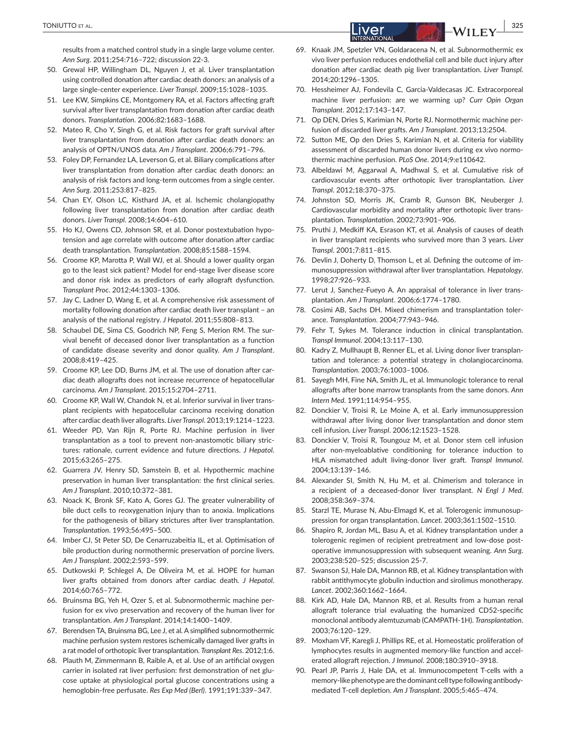results from a matched control study in a single large volume center. *Ann Surg*. 2011;254:716–722; discussion 22-3.

- 50. Grewal HP, Willingham DL, Nguyen J, et al. Liver transplantation using controlled donation after cardiac death donors: an analysis of a large single-center experience. *Liver Transpl*. 2009;15:1028–1035.
- 51. Lee KW, Simpkins CE, Montgomery RA, et al. Factors affecting graft survival after liver transplantation from donation after cardiac death donors. *Transplantation*. 2006;82:1683–1688.
- 52. Mateo R, Cho Y, Singh G, et al. Risk factors for graft survival after liver transplantation from donation after cardiac death donors: an analysis of OPTN/UNOS data. *Am J Transplant*. 2006;6:791–796.
- 53. Foley DP, Fernandez LA, Leverson G, et al. Biliary complications after liver transplantation from donation after cardiac death donors: an analysis of risk factors and long-term outcomes from a single center. *Ann Surg*. 2011;253:817–825.
- 54. Chan EY, Olson LC, Kisthard JA, et al. Ischemic cholangiopathy following liver transplantation from donation after cardiac death donors. *Liver Transpl*. 2008;14:604–610.
- 55. Ho KJ, Owens CD, Johnson SR, et al. Donor postextubation hypotension and age correlate with outcome after donation after cardiac death transplantation. *Transplantation*. 2008;85:1588–1594.
- 56. Croome KP, Marotta P, Wall WJ, et al. Should a lower quality organ go to the least sick patient? Model for end-stage liver disease score and donor risk index as predictors of early allograft dysfunction. *Transplant Proc*. 2012;44:1303–1306.
- 57. Jay C, Ladner D, Wang E, et al. A comprehensive risk assessment of mortality following donation after cardiac death liver transplant – an analysis of the national registry. *J Hepatol*. 2011;55:808–813.
- 58. Schaubel DE, Sima CS, Goodrich NP, Feng S, Merion RM. The survival benefit of deceased donor liver transplantation as a function of candidate disease severity and donor quality. *Am J Transplant*. 2008;8:419–425.
- 59. Croome KP, Lee DD, Burns JM, et al. The use of donation after cardiac death allografts does not increase recurrence of hepatocellular carcinoma. *Am J Transplant*. 2015;15:2704–2711.
- 60. Croome KP, Wall W, Chandok N, et al. Inferior survival in liver transplant recipients with hepatocellular carcinoma receiving donation after cardiac death liver allografts. *Liver Transpl*. 2013;19:1214–1223.
- 61. Weeder PD, Van Rijn R, Porte RJ. Machine perfusion in liver transplantation as a tool to prevent non-anastomotic biliary strictures: rationale, current evidence and future directions. *J Hepatol*. 2015;63:265–275.
- 62. Guarrera JV, Henry SD, Samstein B, et al. Hypothermic machine preservation in human liver transplantation: the first clinical series. *Am J Transplant*. 2010;10:372–381.
- 63. Noack K, Bronk SF, Kato A, Gores GJ. The greater vulnerability of bile duct cells to reoxygenation injury than to anoxia. Implications for the pathogenesis of biliary strictures after liver transplantation. *Transplantation*. 1993;56:495–500.
- 64. Imber CJ, St Peter SD, De Cenarruzabeitia IL, et al. Optimisation of bile production during normothermic preservation of porcine livers. *Am J Transplant*. 2002;2:593–599.
- 65. Dutkowski P, Schlegel A, De Oliveira M, et al. HOPE for human liver grafts obtained from donors after cardiac death. *J Hepatol*. 2014;60:765–772.
- 66. Bruinsma BG, Yeh H, Ozer S, et al. Subnormothermic machine perfusion for ex vivo preservation and recovery of the human liver for transplantation. *Am J Transplant*. 2014;14:1400–1409.
- 67. Berendsen TA, Bruinsma BG, Lee J, et al. A simplified subnormothermic machine perfusion system restores ischemically damaged liver grafts in a rat model of orthotopic liver transplantation. *Transplant Res*. 2012;1:6.
- 68. Plauth M, Zimmermann B, Raible A, et al. Use of an artificial oxygen carrier in isolated rat liver perfusion: first demonstration of net glucose uptake at physiological portal glucose concentrations using a hemoglobin-free perfusate. *Res Exp Med (Berl)*. 1991;191:339–347.
- 69. Knaak JM, Spetzler VN, Goldaracena N, et al. Subnormothermic ex vivo liver perfusion reduces endothelial cell and bile duct injury after donation after cardiac death pig liver transplantation. *Liver Transpl*. 2014;20:1296–1305.
- 70. Hessheimer AJ, Fondevila C, Garcia-Valdecasas JC. Extracorporeal machine liver perfusion: are we warming up? *Curr Opin Organ Transplant*. 2012;17:143–147.
- 71. Op DEN, Dries S, Karimian N, Porte RJ. Normothermic machine perfusion of discarded liver grafts. *Am J Transplant*. 2013;13:2504.
- 72. Sutton ME, Op den Dries S, Karimian N, et al. Criteria for viability assessment of discarded human donor livers during ex vivo normothermic machine perfusion. *PLoS One*. 2014;9:e110642.
- 73. Albeldawi M, Aggarwal A, Madhwal S, et al. Cumulative risk of cardiovascular events after orthotopic liver transplantation. *Liver Transpl*. 2012;18:370–375.
- 74. Johnston SD, Morris JK, Cramb R, Gunson BK, Neuberger J. Cardiovascular morbidity and mortality after orthotopic liver transplantation. *Transplantation*. 2002;73:901–906.
- 75. Pruthi J, Medkiff KA, Esrason KT, et al. Analysis of causes of death in liver transplant recipients who survived more than 3 years. *Liver Transpl*. 2001;7:811–815.
- 76. Devlin J, Doherty D, Thomson L, et al. Defining the outcome of immunosuppression withdrawal after liver transplantation. *Hepatology*. 1998;27:926–933.
- 77. Lerut J, Sanchez-Fueyo A. An appraisal of tolerance in liver transplantation. *Am J Transplant*. 2006;6:1774–1780.
- 78. Cosimi AB, Sachs DH. Mixed chimerism and transplantation tolerance. *Transplantation*. 2004;77:943–946.
- 79. Fehr T, Sykes M. Tolerance induction in clinical transplantation. *Transpl Immunol*. 2004;13:117–130.
- 80. Kadry Z, Mullhaupt B, Renner EL, et al. Living donor liver transplantation and tolerance: a potential strategy in cholangiocarcinoma. *Transplantation*. 2003;76:1003–1006.
- 81. Sayegh MH, Fine NA, Smith JL, et al. Immunologic tolerance to renal allografts after bone marrow transplants from the same donors. *Ann Intern Med*. 1991;114:954–955.
- 82. Donckier V, Troisi R, Le Moine A, et al. Early immunosuppression withdrawal after living donor liver transplantation and donor stem cell infusion. *Liver Transpl*. 2006;12:1523–1528.
- 83. Donckier V, Troisi R, Toungouz M, et al. Donor stem cell infusion after non-myeloablative conditioning for tolerance induction to HLA mismatched adult living-donor liver graft. *Transpl Immunol*. 2004;13:139–146.
- 84. Alexander SI, Smith N, Hu M, et al. Chimerism and tolerance in a recipient of a deceased-donor liver transplant. *N Engl J Med*. 2008;358:369–374.
- 85. Starzl TE, Murase N, Abu-Elmagd K, et al. Tolerogenic immunosuppression for organ transplantation. *Lancet*. 2003;361:1502–1510.
- 86. Shapiro R, Jordan ML, Basu A, et al. Kidney transplantation under a tolerogenic regimen of recipient pretreatment and low-dose postoperative immunosuppression with subsequent weaning. *Ann Surg*. 2003;238:520–525; discussion 25-7.
- 87. Swanson SJ, Hale DA, Mannon RB, et al. Kidney transplantation with rabbit antithymocyte globulin induction and sirolimus monotherapy. *Lancet*. 2002;360:1662–1664.
- 88. Kirk AD, Hale DA, Mannon RB, et al. Results from a human renal allograft tolerance trial evaluating the humanized CD52-specific monoclonal antibody alemtuzumab (CAMPATH-1H). *Transplantation*. 2003;76:120–129.
- 89. Moxham VF, Karegli J, Phillips RE, et al. Homeostatic proliferation of lymphocytes results in augmented memory-like function and accelerated allograft rejection. *J Immunol*. 2008;180:3910–3918.
- 90. Pearl JP, Parris J, Hale DA, et al. Immunocompetent T-cells with a memory-like phenotype are the dominant cell type following antibodymediated T-cell depletion. *Am J Transplant*. 2005;5:465–474.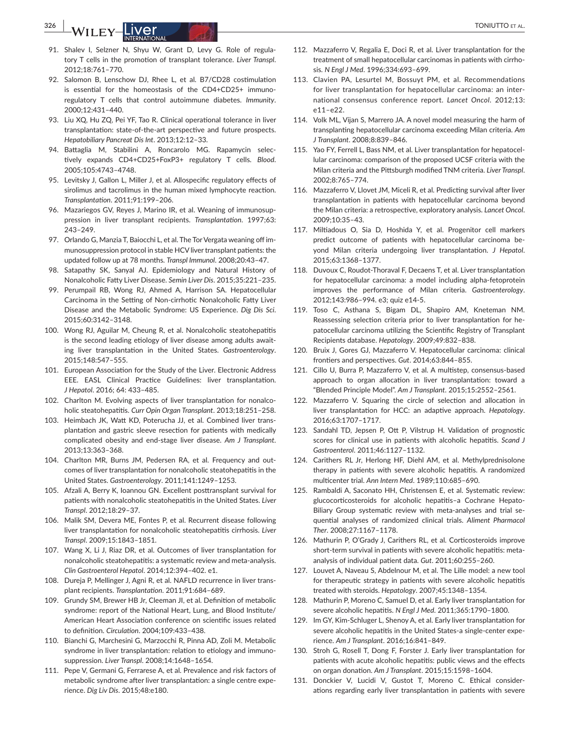# **326 |**  TONIUTTO et al.

- 91. Shalev I, Selzner N, Shyu W, Grant D, Levy G. Role of regulatory T cells in the promotion of transplant tolerance. *Liver Transpl*. 2012;18:761–770.
- 92. Salomon B, Lenschow DJ, Rhee L, et al. B7/CD28 costimulation is essential for the homeostasis of the CD4+CD25+ immunoregulatory T cells that control autoimmune diabetes. *Immunity*. 2000;12:431–440.
- 93. Liu XQ, Hu ZQ, Pei YF, Tao R. Clinical operational tolerance in liver transplantation: state-of-the-art perspective and future prospects. *Hepatobiliary Pancreat Dis Int*. 2013;12:12–33.
- 94. Battaglia M, Stabilini A, Roncarolo MG. Rapamycin selectively expands CD4+CD25+FoxP3+ regulatory T cells. *Blood*. 2005;105:4743–4748.
- 95. Levitsky J, Gallon L, Miller J, et al. Allospecific regulatory effects of sirolimus and tacrolimus in the human mixed lymphocyte reaction. *Transplantation*. 2011;91:199–206.
- 96. Mazariegos GV, Reyes J, Marino IR, et al. Weaning of immunosuppression in liver transplant recipients. *Transplantation*. 1997;63: 243–249.
- 97. Orlando G, Manzia T, Baiocchi L, et al. The Tor Vergata weaning off immunosuppression protocol in stable HCV liver transplant patients: the updated follow up at 78 months. *Transpl Immunol*. 2008;20:43–47.
- 98. Satapathy SK, Sanyal AJ. Epidemiology and Natural History of Nonalcoholic Fatty Liver Disease. *Semin Liver Dis*. 2015;35:221–235.
- 99. Perumpail RB, Wong RJ, Ahmed A, Harrison SA. Hepatocellular Carcinoma in the Setting of Non-cirrhotic Nonalcoholic Fatty Liver Disease and the Metabolic Syndrome: US Experience. *Dig Dis Sci*. 2015;60:3142–3148.
- 100. Wong RJ, Aguilar M, Cheung R, et al. Nonalcoholic steatohepatitis is the second leading etiology of liver disease among adults awaiting liver transplantation in the United States. *Gastroenterology*. 2015;148:547–555.
- 101. European Association for the Study of the Liver. Electronic Address EEE. EASL Clinical Practice Guidelines: liver transplantation. *J Hepatol*. 2016; 64: 433–485.
- 102. Charlton M. Evolving aspects of liver transplantation for nonalcoholic steatohepatitis. *Curr Opin Organ Transplant*. 2013;18:251–258.
- 103. Heimbach JK, Watt KD, Poterucha JJ, et al. Combined liver transplantation and gastric sleeve resection for patients with medically complicated obesity and end-stage liver disease. *Am J Transplant*. 2013;13:363–368.
- 104. Charlton MR, Burns JM, Pedersen RA, et al. Frequency and outcomes of liver transplantation for nonalcoholic steatohepatitis in the United States. *Gastroenterology*. 2011;141:1249–1253.
- 105. Afzali A, Berry K, Ioannou GN. Excellent posttransplant survival for patients with nonalcoholic steatohepatitis in the United States. *Liver Transpl*. 2012;18:29–37.
- 106. Malik SM, Devera ME, Fontes P, et al. Recurrent disease following liver transplantation for nonalcoholic steatohepatitis cirrhosis. *Liver Transpl*. 2009;15:1843–1851.
- 107. Wang X, Li J, Riaz DR, et al. Outcomes of liver transplantation for nonalcoholic steatohepatitis: a systematic review and meta-analysis. *Clin Gastroenterol Hepatol*. 2014;12:394–402. e1.
- 108. Dureja P, Mellinger J, Agni R, et al. NAFLD recurrence in liver transplant recipients. *Transplantation*. 2011;91:684–689.
- 109. Grundy SM, Brewer HB Jr, Cleeman JI, et al. Definition of metabolic syndrome: report of the National Heart, Lung, and Blood Institute/ American Heart Association conference on scientific issues related to definition. *Circulation*. 2004;109:433–438.
- 110. Bianchi G, Marchesini G, Marzocchi R, Pinna AD, Zoli M. Metabolic syndrome in liver transplantation: relation to etiology and immunosuppression. *Liver Transpl*. 2008;14:1648–1654.
- 111. Pepe V, Germani G, Ferrarese A, et al. Prevalence and risk factors of metabolic syndrome after liver transplantation: a single centre experience. *Dig Liv Dis*. 2015;48:e180.
- 112. Mazzaferro V, Regalia E, Doci R, et al. Liver transplantation for the treatment of small hepatocellular carcinomas in patients with cirrhosis. *N Engl J Med*. 1996;334:693–699.
- 113. Clavien PA, Lesurtel M, Bossuyt PM, et al. Recommendations for liver transplantation for hepatocellular carcinoma: an international consensus conference report. *Lancet Oncol*. 2012;13: e11–e22.
- 114. Volk ML, Vijan S, Marrero JA. A novel model measuring the harm of transplanting hepatocellular carcinoma exceeding Milan criteria. *Am J Transplant*. 2008;8:839–846.
- 115. Yao FY, Ferrell L, Bass NM, et al. Liver transplantation for hepatocellular carcinoma: comparison of the proposed UCSF criteria with the Milan criteria and the Pittsburgh modified TNM criteria. *Liver Transpl*. 2002;8:765–774.
- 116. Mazzaferro V, Llovet JM, Miceli R, et al. Predicting survival after liver transplantation in patients with hepatocellular carcinoma beyond the Milan criteria: a retrospective, exploratory analysis. *Lancet Oncol*. 2009;10:35–43.
- 117. Miltiadous O, Sia D, Hoshida Y, et al. Progenitor cell markers predict outcome of patients with hepatocellular carcinoma beyond Milan criteria undergoing liver transplantation. *J Hepatol*. 2015;63:1368–1377.
- 118. Duvoux C, Roudot-Thoraval F, Decaens T, et al. Liver transplantation for hepatocellular carcinoma: a model including alpha-fetoprotein improves the performance of Milan criteria. *Gastroenterology*. 2012;143:986–994. e3; quiz e14-5.
- 119. Toso C, Asthana S, Bigam DL, Shapiro AM, Kneteman NM. Reassessing selection criteria prior to liver transplantation for hepatocellular carcinoma utilizing the Scientific Registry of Transplant Recipients database. *Hepatology*. 2009;49:832–838.
- 120. Bruix J, Gores GJ, Mazzaferro V. Hepatocellular carcinoma: clinical frontiers and perspectives. *Gut*. 2014;63:844–855.
- 121. Cillo U, Burra P, Mazzaferro V, et al. A multistep, consensus-based approach to organ allocation in liver transplantation: toward a "Blended Principle Model". *Am J Transplant*. 2015;15:2552–2561.
- 122. Mazzaferro V. Squaring the circle of selection and allocation in liver transplantation for HCC: an adaptive approach. *Hepatology*. 2016;63:1707–1717.
- 123. Sandahl TD, Jepsen P, Ott P, Vilstrup H. Validation of prognostic scores for clinical use in patients with alcoholic hepatitis. *Scand J Gastroenterol*. 2011;46:1127–1132.
- 124. Carithers RL Jr, Herlong HF, Diehl AM, et al. Methylprednisolone therapy in patients with severe alcoholic hepatitis. A randomized multicenter trial. *Ann Intern Med*. 1989;110:685–690.
- 125. Rambaldi A, Saconato HH, Christensen E, et al. Systematic review: glucocorticosteroids for alcoholic hepatitis–a Cochrane Hepato-Biliary Group systematic review with meta-analyses and trial sequential analyses of randomized clinical trials. *Aliment Pharmacol Ther*. 2008;27:1167–1178.
- 126. Mathurin P, O'Grady J, Carithers RL, et al. Corticosteroids improve short-term survival in patients with severe alcoholic hepatitis: metaanalysis of individual patient data. *Gut*. 2011;60:255–260.
- 127. Louvet A, Naveau S, Abdelnour M, et al. The Lille model: a new tool for therapeutic strategy in patients with severe alcoholic hepatitis treated with steroids. *Hepatology*. 2007;45:1348–1354.
- 128. Mathurin P, Moreno C, Samuel D, et al. Early liver transplantation for severe alcoholic hepatitis. *N Engl J Med*. 2011;365:1790–1800.
- 129. Im GY, Kim-Schluger L, Shenoy A, et al. Early liver transplantation for severe alcoholic hepatitis in the United States-a single-center experience. *Am J Transplant*. 2016;16:841–849.
- 130. Stroh G, Rosell T, Dong F, Forster J. Early liver transplantation for patients with acute alcoholic hepatitis: public views and the effects on organ donation. *Am J Transplant*. 2015;15:1598–1604.
- 131. Donckier V, Lucidi V, Gustot T, Moreno C. Ethical considerations regarding early liver transplantation in patients with severe